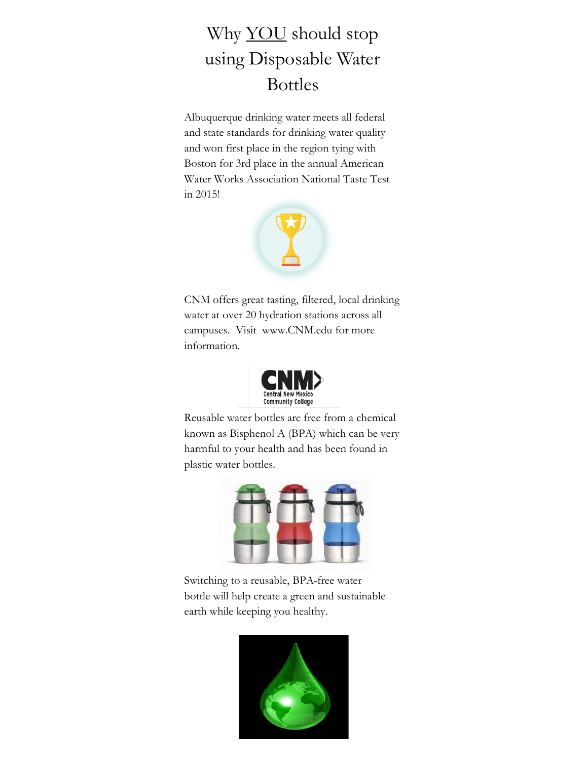## Why **YOU** should stop using Disposable Water Bottles

Albuquerque drinking water meets all federal and state standards for drinking water quality and won first place in the region tying with Boston for 3rd place in the annual American Water Works Association National Taste Test in 2015!



CNM offers great tasting, filtered, local drinking water at over 20 hydration stations across all campuses. Visit www.CNM.edu for more information.



Reusable water bottles are free from a chemical known as Bisphenol A (BPA) which can be very harmful to your health and has been found in plastic water bottles.



Switching to a reusable, BPA-free water bottle will help create a green and sustainable earth while keeping you healthy.